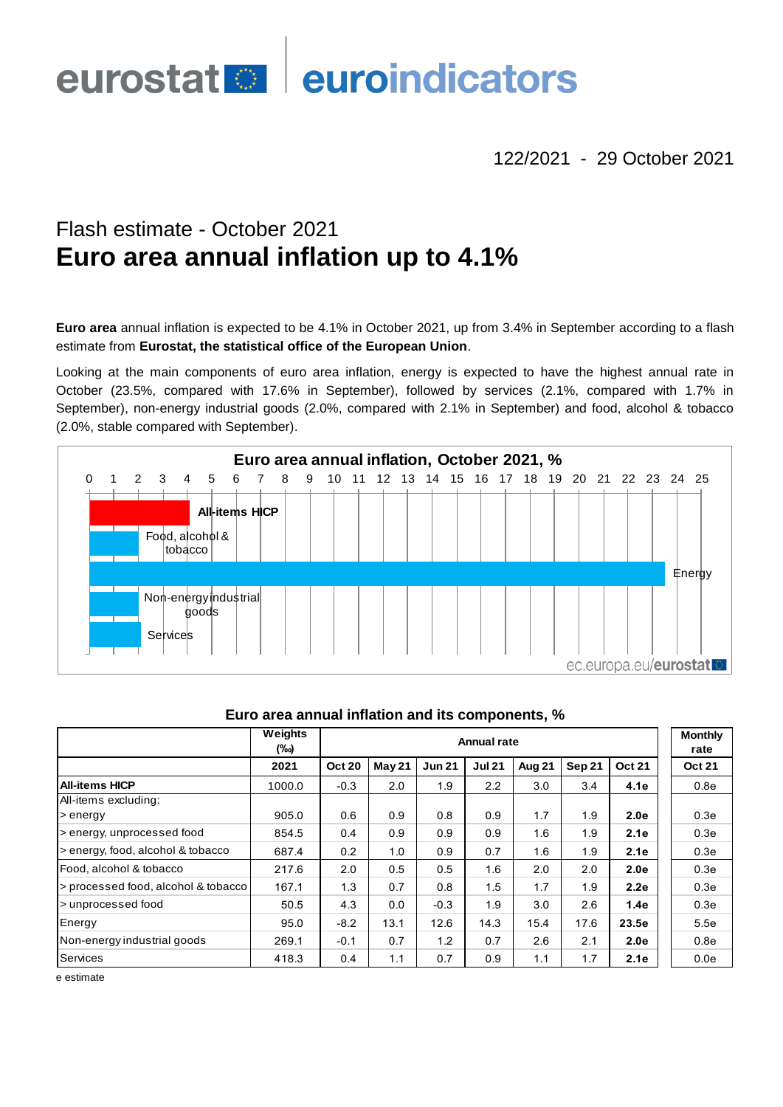# euroindicators **eurostat**

122/2021 - 29 October 2021

# Flash estimate - October 2021 **Euro area annual inflation up to 4.1%**

**Euro area** annual inflation is expected to be 4.1% in October 2021, up from 3.4% in September according to a flash estimate from **Eurostat, the statistical office of the European Union**.

Looking at the main components of euro area inflation, energy is expected to have the highest annual rate in October (23.5%, compared with 17.6% in September), followed by services (2.1%, compared with 1.7% in September), non-energy industrial goods (2.0%, compared with 2.1% in September) and food, alcohol & tobacco (2.0%, stable compared with September).



|                                     | Weights<br>(‰) | <b>Annual rate</b> |        |               |               |        |        |               | <b>Monthly</b><br>rate |
|-------------------------------------|----------------|--------------------|--------|---------------|---------------|--------|--------|---------------|------------------------|
|                                     | 2021           | <b>Oct 20</b>      | May 21 | <b>Jun 21</b> | <b>Jul 21</b> | Aug 21 | Sep 21 | <b>Oct 21</b> | <b>Oct 21</b>          |
| <b>All-items HICP</b>               | 1000.0         | $-0.3$             | 2.0    | 1.9           | 2.2           | 3.0    | 3.4    | 4.1e          | 0.8e                   |
| All-items excluding:                |                |                    |        |               |               |        |        |               |                        |
| > energy                            | 905.0          | 0.6                | 0.9    | 0.8           | 0.9           | 1.7    | 1.9    | 2.0e          | 0.3 <sub>e</sub>       |
| > energy, unprocessed food          | 854.5          | $0.4^{\circ}$      | 0.9    | 0.9           | 0.9           | 1.6    | 1.9    | 2.1e          | 0.3e                   |
| s energy, food, alcohol & tobacco   | 687.4          | 0.2                | 1.0    | 0.9           | 0.7           | 1.6    | 1.9    | 2.1e          | 0.3e                   |
| Food, alcohol & tobacco             | 217.6          | 2.0                | 0.5    | 0.5           | 1.6           | 2.0    | 2.0    | 2.0e          | 0.3e                   |
| > processed food, alcohol & tobacco | 167.1          | 1.3                | 0.7    | 0.8           | 1.5           | 1.7    | 1.9    | 2.2e          | 0.3e                   |
| > unprocessed food                  | 50.5           | 4.3                | 0.0    | $-0.3$        | 1.9           | 3.0    | 2.6    | 1.4e          | 0.3e                   |
| Energy                              | 95.0           | $-8.2$             | 13.1   | 12.6          | 14.3          | 15.4   | 17.6   | 23.5e         | 5.5e                   |
| Non-energy industrial goods         | 269.1          | $-0.1$             | 0.7    | 1.2           | 0.7           | 2.6    | 2.1    | 2.0e          | 0.8 <sub>e</sub>       |
| Services                            | 418.3          | 0.4                | 1.1    | 0.7           | 0.9           | 1.1    | 1.7    | 2.1e          | 0.0e                   |

## **Euro area annual inflation and its components, %**

e estimate